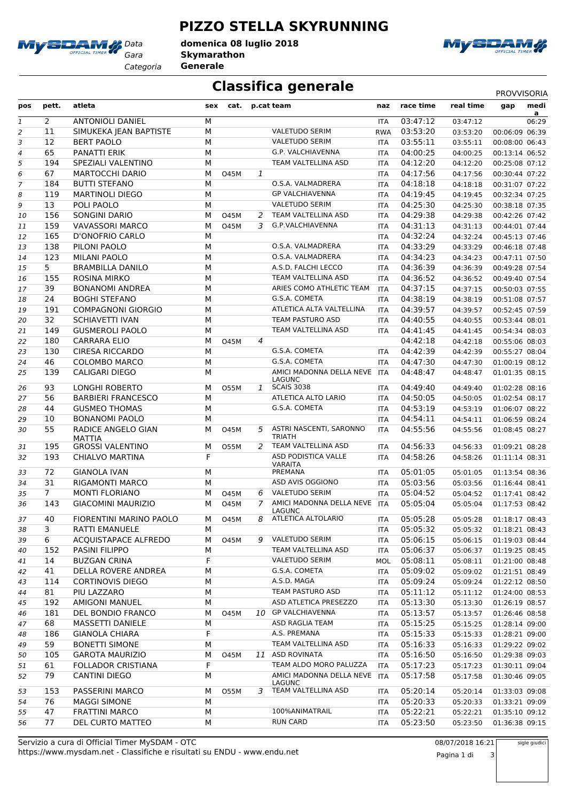

*Gara* **Skymarathon domenica 08 luglio 2018**

*Categoria* **Generale**



## **Classifica generale** PROVVISORIA

**PIZZO STELLA SKYRUNNING**

| pos            | pett.          | atleta                                               | sex    | cat.                |              | p.cat team                                       | naz        | race time            | real time            | gap                              | medi<br>a |
|----------------|----------------|------------------------------------------------------|--------|---------------------|--------------|--------------------------------------------------|------------|----------------------|----------------------|----------------------------------|-----------|
| 1              | $\overline{2}$ | <b>ANTONIOLI DANIEL</b>                              | M      |                     |              |                                                  | ITA        | 03:47:12             | 03:47:12             |                                  | 06:29     |
| 2              | 11             | SIMUKEKA JEAN BAPTISTE                               | M      |                     |              | <b>VALETUDO SERIM</b>                            | <b>RWA</b> | 03:53:20             | 03:53:20             | 00:06:09 06:39                   |           |
| 3              | 12             | <b>BERT PAOLO</b>                                    | M      |                     |              | <b>VALETUDO SERIM</b>                            | <b>ITA</b> | 03:55:11             | 03:55:11             | 00:08:00 06:43                   |           |
| 4              | 65             | PANATTI ERIK                                         | M      |                     |              | G.P. VALCHIAVENNA                                | <b>ITA</b> | 04:00:25             | 04:00:25             | 00:13:14 06:52                   |           |
| 5              | 194            | SPEZIALI VALENTINO                                   | M      |                     |              | TEAM VALTELLINA ASD                              | <b>ITA</b> | 04:12:20             | 04:12:20             | 00:25:08 07:12                   |           |
| 6              | 67             | <b>MARTOCCHI DARIO</b>                               | M      | 045M                | 1            |                                                  | <b>ITA</b> | 04:17:56             | 04:17:56             | 00:30:44 07:22                   |           |
| $\overline{7}$ | 184            | <b>BUTTI STEFANO</b>                                 | M      |                     |              | O.S.A. VALMADRERA                                | <b>ITA</b> | 04:18:18             | 04:18:18             | 00:31:07 07:22                   |           |
| 8              | 119            | <b>MARTINOLI DIEGO</b>                               | M      |                     |              | <b>GP VALCHIAVENNA</b>                           | ITA        | 04:19:45             | 04:19:45             | 00:32:34 07:25                   |           |
| 9              | 13             | POLI PAOLO                                           | M      |                     |              | <b>VALETUDO SERIM</b>                            | <b>ITA</b> | 04:25:30             | 04:25:30             | 00:38:18 07:35                   |           |
| 10             | 156            | SONGINI DARIO                                        | М      | 045M                | 2            | TEAM VALTELLINA ASD                              | <b>ITA</b> | 04:29:38             | 04:29:38             | 00:42:26 07:42                   |           |
| 11             | 159            | <b>VAVASSORI MARCO</b>                               | M      | <b>O45M</b>         | 3            | G.P.VALCHIAVENNA                                 | <b>ITA</b> | 04:31:13             | 04:31:13             | 00:44:01 07:44                   |           |
| 12             | 165            | <b>D'ONOFRIO CARLO</b>                               | M      |                     |              |                                                  | <b>ITA</b> | 04:32:24             | 04:32:24             | 00:45:13 07:46                   |           |
| 13             | 138            | PILONI PAOLO                                         | M      |                     |              | O.S.A. VALMADRERA                                | <b>ITA</b> | 04:33:29             | 04:33:29             | 00:46:18 07:48                   |           |
| 14             | 123            | MILANI PAOLO                                         | M      |                     |              | O.S.A. VALMADRERA                                | <b>ITA</b> | 04:34:23             | 04:34:23             | 00:47:11 07:50                   |           |
| 15             | $\overline{5}$ | <b>BRAMBILLA DANILO</b>                              | M      |                     |              | A.S.D. FALCHI LECCO                              | <b>ITA</b> | 04:36:39             | 04:36:39             | 00:49:28 07:54                   |           |
| 16             | 155            | <b>ROSINA MIRKO</b>                                  | M      |                     |              | TEAM VALTELLINA ASD                              | <b>ITA</b> | 04:36:52             | 04:36:52             | 00:49:40 07:54                   |           |
| 17             | 39             | <b>BONANOMI ANDREA</b>                               | M      |                     |              | ARIES COMO ATHLETIC TEAM                         | <b>ITA</b> | 04:37:15             | 04:37:15             | 00:50:03 07:55                   |           |
| 18             | 24             | <b>BOGHI STEFANO</b>                                 | M      |                     |              | G.S.A. COMETA                                    | <b>ITA</b> | 04:38:19             | 04:38:19             | 00:51:08 07:57                   |           |
| 19             | 191            | <b>COMPAGNONI GIORGIO</b>                            | M      |                     |              | ATLETICA ALTA VALTELLINA                         | ITA        | 04:39:57             | 04:39:57             | 00:52:45 07:59                   |           |
| 20             | 32             | <b>SCHIAVETTI IVAN</b>                               | M      |                     |              | TEAM PASTURO ASD                                 | <b>ITA</b> | 04:40:55             | 04:40:55             | 00:53:44 08:01                   |           |
| 21             | 149            | <b>GUSMEROLI PAOLO</b>                               | M      |                     |              | TEAM VALTELLINA ASD                              | <b>ITA</b> | 04:41:45             | 04:41:45             | 00:54:34 08:03                   |           |
| 22             | 180            | <b>CARRARA ELIO</b>                                  | M      | <b>O45M</b>         | 4            |                                                  |            | 04:42:18             | 04:42:18             | 00:55:06 08:03                   |           |
| 23             | 130            | <b>CIRESA RICCARDO</b>                               | M      |                     |              | G.S.A. COMETA                                    | <b>ITA</b> | 04:42:39             | 04:42:39             | 00:55:27 08:04                   |           |
| 24             | 46             | <b>COLOMBO MARCO</b>                                 | M      |                     |              | G.S.A. COMETA                                    | <b>ITA</b> | 04:47:30             | 04:47:30             | 01:00:19 08:12                   |           |
| 25             | 139            | <b>CALIGARI DIEGO</b>                                | M      |                     |              | AMICI MADONNA DELLA NEVE<br>LAGUNC               | <b>ITA</b> | 04:48:47             | 04:48:47             | 01:01:35 08:15                   |           |
| 26             | 93             | <b>LONGHI ROBERTO</b>                                | M      | 055M                | $\mathbf{1}$ | <b>SCAIS 3038</b>                                | ITA        | 04:49:40             | 04:49:40             | 01:02:28 08:16                   |           |
| 27             | 56             | <b>BARBIERI FRANCESCO</b>                            | M      |                     |              | ATLETICA ALTO LARIO                              | ITA        | 04:50:05             | 04:50:05             | 01:02:54 08:17                   |           |
| 28             | 44             | <b>GUSMEO THOMAS</b>                                 | M      |                     |              | G.S.A. COMETA                                    | <b>ITA</b> | 04:53:19             | 04:53:19             | 01:06:07 08:22                   |           |
| 29             | 10             | <b>BONANOMI PAOLO</b>                                | м      |                     |              |                                                  | <b>ITA</b> | 04:54:11             | 04:54:11             | 01:06:59 08:24                   |           |
| 30             | 55             | RADICE ANGELO GIAN<br>MATTIA                         | М      | 045M                | 5            | ASTRI NASCENTI, SARONNO<br><b>TRIATH</b>         | ITA        | 04:55:56             | 04:55:56             | 01:08:45 08:27                   |           |
| 31             | 195            | <b>GROSSI VALENTINO</b>                              | М      | 055M                | 2            | TEAM VALTELLINA ASD                              | <b>ITA</b> | 04:56:33             | 04:56:33             | 01:09:21 08:28                   |           |
| 32             | 193            | <b>CHIALVO MARTINA</b>                               | F      |                     |              | ASD PODISTICA VALLE<br><b>VARAITA</b><br>PREMANA | <b>ITA</b> | 04:58:26             | 04:58:26             | 01:11:14 08:31                   |           |
| 33             | 72             | <b>GIANOLA IVAN</b>                                  | М      |                     |              | ASD AVIS OGGIONO                                 | <b>ITA</b> | 05:01:05             | 05:01:05             | 01:13:54 08:36                   |           |
| 34             | 31             | <b>RIGAMONTI MARCO</b>                               | М      |                     |              | <b>VALETUDO SERIM</b>                            | <b>ITA</b> | 05:03:56             | 05:03:56             | 01:16:44 08:41                   |           |
| 35             | $\overline{7}$ | <b>MONTI FLORIANO</b>                                | м      | 045M                | 6            | AMICI MADONNA DELLA NEVE                         | <b>ITA</b> | 05:04:52             | 05:04:52             | 01:17:41 08:42                   |           |
| 36<br>37       | 143<br>40      | <b>GIACOMINI MAURIZIO</b><br>FIORENTINI MARINO PAOLO | М<br>м | 045M<br><b>O45M</b> | 7<br>8       | <b>LAGUNC</b><br>ATLETICA ALTOLARIO              | ITA<br>ITA | 05:05:04<br>05:05:28 | 05:05:04<br>05:05:28 | 01:17:53 08:42<br>01:18:17 08:43 |           |
| 38             | 3              | <b>RATTI EMANUELE</b>                                | М      |                     |              |                                                  | ITA        | 05:05:32             | 05:05:32             | 01:18:21 08:43                   |           |
| 39             | 6              | ACQUISTAPACE ALFREDO                                 | М      | <b>O45M</b>         | 9            | VALETUDO SERIM                                   | ITA        | 05:06:15             | 05:06:15             | 01:19:03 08:44                   |           |
| 40             | 152            | PASINI FILIPPO                                       | М      |                     |              | TEAM VALTELLINA ASD                              | ITA        | 05:06:37             | 05:06:37             | 01:19:25 08:45                   |           |
| 41             | 14             | <b>BUZGAN CRINA</b>                                  | F      |                     |              | <b>VALETUDO SERIM</b>                            | MOL        | 05:08:11             | 05:08:11             | 01:21:00 08:48                   |           |
| 42             | 41             | DELLA ROVERE ANDREA                                  | М      |                     |              | G.S.A. COMETA                                    | ITA        | 05:09:02             | 05:09:02             | 01:21:51 08:49                   |           |
| 43             | 114            | <b>CORTINOVIS DIEGO</b>                              | М      |                     |              | A.S.D. MAGA                                      | ITA        | 05:09:24             | 05:09:24             | 01:22:12 08:50                   |           |
| 44             | 81             | PIU LAZZARO                                          | М      |                     |              | TEAM PASTURO ASD                                 | ITA        | 05:11:12             | 05:11:12             | 01:24:00 08:53                   |           |
| 45             | 192            | <b>AMIGONI MANUEL</b>                                | М      |                     |              | ASD ATLETICA PRESEZZO                            | ITA        | 05:13:30             | 05:13:30             | 01:26:19 08:57                   |           |
| 46             | 181            | DEL BONDIO FRANCO                                    | М      | 045M                |              | 10 GP VALCHIAVENNA                               | ITA        | 05:13:57             | 05:13:57             | 01:26:46 08:58                   |           |
| 47             | 68             | MASSETTI DANIELE                                     | М      |                     |              | ASD RAGLIA TEAM                                  | ITA        | 05:15:25             | 05:15:25             | 01:28:14 09:00                   |           |
| 48             | 186            | <b>GIANOLA CHIARA</b>                                | F      |                     |              | A.S. PREMANA                                     | ITA        | 05:15:33             | 05:15:33             | 01:28:21 09:00                   |           |
| 49             | 59             | <b>BONETTI SIMONE</b>                                | М      |                     |              | TEAM VALTELLINA ASD                              | ITA        | 05:16:33             | 05:16:33             | 01:29:22 09:02                   |           |
| 50             | 105            | <b>GAROTA MAURIZIO</b>                               | М      | <b>O45M</b>         | 11           | <b>ASD ROVINATA</b>                              | <b>ITA</b> | 05:16:50             | 05:16:50             | 01:29:38 09:03                   |           |
| 51             | 61             | FOLLADOR CRISTIANA                                   | F      |                     |              | TEAM ALDO MORO PALUZZA                           | <b>ITA</b> | 05:17:23             | 05:17:23             | 01:30:11 09:04                   |           |
| 52             | 79             | <b>CANTINI DIEGO</b>                                 | М      |                     |              | AMICI MADONNA DELLA NEVE                         | ITA        | 05:17:58             | 05:17:58             | 01:30:46 09:05                   |           |
|                |                |                                                      |        |                     |              | LAGUNC                                           |            |                      |                      |                                  |           |
| 53             | 153            | PASSERINI MARCO                                      | М      | 055M                | 3            | TEAM VALTELLINA ASD                              | ITA        | 05:20:14             | 05:20:14             | 01:33:03 09:08                   |           |
| 54             | 76             | <b>MAGGI SIMONE</b>                                  | М      |                     |              |                                                  | ITA        | 05:20:33             | 05:20:33             | 01:33:21 09:09                   |           |
| 55             | 47             | <b>FRATTINI MARCO</b>                                | М      |                     |              | 100%ANIMATRAIL                                   | ITA        | 05:22:21             | 05:22:21             | 01:35:10 09:12                   |           |
| 56             | 77             | DEL CURTO MATTEO                                     | М      |                     |              | <b>RUN CARD</b>                                  | ITA        | 05:23:50             | 05:23:50             | 01:36:38 09:15                   |           |
|                |                |                                                      |        |                     |              |                                                  |            |                      |                      |                                  |           |



sigle giudici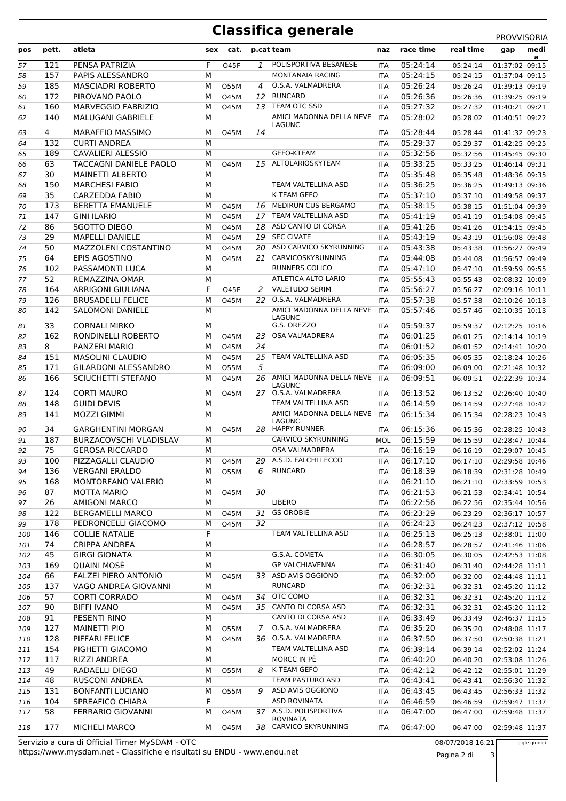## **Classifica generale** PROVVISORIA

| pos      | pett.      | atleta                                         | sex    | cat.        |    | p.cat team                                         | naz                      | race time            | real time            | medi<br>gap                      |
|----------|------------|------------------------------------------------|--------|-------------|----|----------------------------------------------------|--------------------------|----------------------|----------------------|----------------------------------|
| 57       | 121        | PENSA PATRIZIA                                 | F      | <b>O45F</b> | 1  | POLISPORTIVA BESANESE                              | <b>ITA</b>               | 05:24:14             | 05:24:14             | a<br>01:37:02 09:15              |
| 58       | 157        | PAPIS ALESSANDRO                               | M      |             |    | MONTANAIA RACING                                   | <b>ITA</b>               | 05:24:15             | 05:24:15             | 01:37:04 09:15                   |
| 59       | 185        | <b>MASCIADRI ROBERTO</b>                       | M      | 055M        | 4  | O.S.A. VALMADRERA                                  | <b>ITA</b>               | 05:26:24             | 05:26:24             | 01:39:13 09:19                   |
| 60       | 172        | PIROVANO PAOLO                                 | M      | <b>O45M</b> |    | 12 RUNCARD                                         | <b>ITA</b>               | 05:26:36             | 05:26:36             | 01:39:25 09:19                   |
| 61       | 160        | MARVEGGIO FABRIZIO                             | M      | 045M        | 13 | TEAM OTC SSD                                       | <b>ITA</b>               | 05:27:32             | 05:27:32             | 01:40:21 09:21                   |
| 62       | 140        | <b>MALUGANI GABRIELE</b>                       | M      |             |    | AMICI MADONNA DELLA NEVE                           | ITA                      | 05:28:02             | 05:28:02             | 01:40:51 09:22                   |
|          |            |                                                |        |             |    | LAGUNC                                             |                          |                      |                      |                                  |
| 63       | 4<br>132   | <b>MARAFFIO MASSIMO</b><br><b>CURTI ANDREA</b> | м<br>M | <b>O45M</b> | 14 |                                                    | <b>ITA</b>               | 05:28:44<br>05:29:37 | 05:28:44             | 01:41:32 09:23                   |
| 64       | 189        | <b>CAVALIERI ALESSIO</b>                       | M      |             |    | <b>GEFO-KTEAM</b>                                  | <b>ITA</b>               | 05:32:56             | 05:29:37<br>05:32:56 | 01:42:25 09:25<br>01:45:45 09:30 |
| 65<br>66 | 63         | <b>TACCAGNI DANIELE PAOLO</b>                  | M      | <b>O45M</b> |    | 15 ALTOLARIOSKYTEAM                                | <b>ITA</b><br><b>ITA</b> | 05:33:25             | 05:33:25             | 01:46:14 09:31                   |
| 67       | 30         | <b>MAINETTI ALBERTO</b>                        | M      |             |    |                                                    | <b>ITA</b>               | 05:35:48             | 05:35:48             | 01:48:36 09:35                   |
| 68       | 150        | <b>MARCHESI FABIO</b>                          | M      |             |    | TEAM VALTELLINA ASD                                | <b>ITA</b>               | 05:36:25             | 05:36:25             | 01:49:13 09:36                   |
| 69       | 35         | <b>CARZEDDA FABIO</b>                          | M      |             |    | K-TEAM GEFO                                        | <b>ITA</b>               | 05:37:10             | 05:37:10             | 01:49:58 09:37                   |
| 70       | 173        | <b>BERETTA EMANUELE</b>                        | M      | <b>O45M</b> |    | 16 MEDIRUN CUS BERGAMO                             | <b>ITA</b>               | 05:38:15             | 05:38:15             | 01:51:04 09:39                   |
| 71       | 147        | <b>GINI ILARIO</b>                             | M      | <b>O45M</b> |    | 17 TEAM VALTELLINA ASD                             | <b>ITA</b>               | 05:41:19             | 05:41:19             | 01:54:08 09:45                   |
| 72       | 86         | SGOTTO DIEGO                                   | М      | 045M        |    | 18 ASD CANTO DI CORSA                              | <b>ITA</b>               | 05:41:26             | 05:41:26             | 01:54:15 09:45                   |
| 73       | 29         | <b>MAPELLI DANIELE</b>                         | М      | <b>O45M</b> |    | 19 SEC CIVATE                                      | <b>ITA</b>               | 05:43:19             | 05:43:19             | 01:56:08 09:48                   |
| 74       | 50         | MAZZOLENI COSTANTINO                           | M      | <b>O45M</b> | 20 | ASD CARVICO SKYRUNNING                             | <b>ITA</b>               | 05:43:38             | 05:43:38             | 01:56:27 09:49                   |
| 75       | 64         | EPIS AGOSTINO                                  | M      | 045M        |    | 21 CARVICOSKYRUNNING                               | <b>ITA</b>               | 05:44:08             | 05:44:08             | 01:56:57 09:49                   |
| 76       | 102        | PASSAMONTI LUCA                                | M      |             |    | RUNNERS COLICO                                     | <b>ITA</b>               | 05:47:10             | 05:47:10             | 01:59:59 09:55                   |
| 77       | 52         | REMAZZINA OMAR                                 | M      |             |    | ATLETICA ALTO LARIO                                | <b>ITA</b>               | 05:55:43             | 05:55:43             | 02:08:32 10:09                   |
| 78       | 164        | <b>ARRIGONI GIULIANA</b>                       | F      | <b>O45F</b> |    | 2 VALETUDO SERIM                                   | <b>ITA</b>               | 05:56:27             | 05:56:27             | 02:09:16 10:11                   |
| 79       | 126        | <b>BRUSADELLI FELICE</b>                       | M      | <b>O45M</b> | 22 | O.S.A. VALMADRERA                                  | <b>ITA</b>               | 05:57:38             | 05:57:38             | 02:10:26 10:13                   |
| 80       | 142        | <b>SALOMONI DANIELE</b>                        | M      |             |    | AMICI MADONNA DELLA NEVE<br>LAGUNC                 | <b>ITA</b>               | 05:57:46             | 05:57:46             | 02:10:35 10:13                   |
| 81       | 33         | <b>CORNALI MIRKO</b>                           | М      |             |    | G.S. OREZZO                                        | <b>ITA</b>               | 05:59:37             | 05:59:37             | 02:12:25 10:16                   |
| 82       | 162        | RONDINELLI ROBERTO                             | M      | <b>O45M</b> | 23 | OSA VALMADRERA                                     | <b>ITA</b>               | 06:01:25             | 06:01:25             | 02:14:14 10:19                   |
| 83       | 8          | PANZERI MARIO                                  | М      | 045M        | 24 |                                                    | <b>ITA</b>               | 06:01:52             | 06:01:52             | 02:14:41 10:20                   |
| 84       | 151        | <b>MASOLINI CLAUDIO</b>                        | М      | <b>O45M</b> | 25 | TEAM VALTELLINA ASD                                | <b>ITA</b>               | 06:05:35             | 06:05:35             | 02:18:24 10:26                   |
| 85       | 171        | <b>GILARDONI ALESSANDRO</b>                    | M      | <b>O55M</b> | 5  |                                                    | <b>ITA</b>               | 06:09:00             | 06:09:00             | 02:21:48 10:32                   |
| 86       | 166        | <b>SCIUCHETTI STEFANO</b>                      | M      | 045M        |    | 26 AMICI MADONNA DELLA NEVE                        | <b>ITA</b>               | 06:09:51             | 06:09:51             | 02:22:39 10:34                   |
| 87       | 124        | <b>CORTI MAURO</b>                             | М      | <b>O45M</b> |    | <b>LAGUNC</b><br>27 O.S.A. VALMADRERA              | <b>ITA</b>               | 06:13:52             | 06:13:52             | 02:26:40 10:40                   |
| 88       | 148        | <b>GUIDI DEVIS</b>                             | М      |             |    | TEAM VALTELLINA ASD                                | <b>ITA</b>               | 06:14:59             | 06:14:59             | 02:27:48 10:42                   |
| 89       | 141        | <b>MOZZI GIMMI</b>                             | M      |             |    | AMICI MADONNA DELLA NEVE                           | <b>ITA</b>               | 06:15:34             | 06:15:34             | 02:28:23 10:43                   |
|          |            |                                                |        |             |    | <b>LAGUNC</b>                                      |                          |                      |                      |                                  |
| 90       | 34         | <b>GARGHENTINI MORGAN</b>                      | M      | <b>O45M</b> |    | 28 HAPPY RUNNER                                    | <b>ITA</b>               | 06:15:36             | 06:15:36             | 02:28:25 10:43                   |
| 91       | 187        | <b>BURZACOVSCHI VLADISLAV</b>                  | M      |             |    | <b>CARVICO SKYRUNNING</b><br><b>OSA VALMADRERA</b> | <b>MOL</b>               | 06:15:59             | 06:15:59             | 02:28:47 10:44                   |
| 92<br>93 | 75<br>100  | <b>GEROSA RICCARDO</b><br>PIZZAGALLI CLAUDIO   | М<br>M | 045M        |    | 29 A.S.D. FALCHI LECCO                             | <b>ITA</b><br><b>ITA</b> | 06:16:19<br>06:17:10 | 06:16:19<br>06:17:10 | 02:29:07 10:45<br>02:29:58 10:46 |
| 94       | 136        | <b>VERGANI ERALDO</b>                          | М      | 055M        | 6  | RUNCARD                                            | ITA                      | 06:18:39             | 06:18:39             | 02:31:28 10:49                   |
| 95       | 168        | MONTORFANO VALERIO                             | M      |             |    |                                                    | ITA                      | 06:21:10             | 06:21:10             | 02:33:59 10:53                   |
| 96       | 87         | <b>MOTTA MARIO</b>                             | М      | <b>O45M</b> | 30 |                                                    | ITA                      | 06:21:53             | 06:21:53             | 02:34:41 10:54                   |
| 97       | 26         | AMIGONI MARCO                                  | М      |             |    | LIBERO                                             | <b>ITA</b>               | 06:22:56             | 06:22:56             | 02:35:44 10:56                   |
| 98       | 122        | <b>BERGAMELLI MARCO</b>                        | М      | <b>O45M</b> | 31 | <b>GS OROBIE</b>                                   | ITA                      | 06:23:29             | 06:23:29             | 02:36:17 10:57                   |
| 99       | 178        | PEDRONCELLI GIACOMO                            | М      | 045M        | 32 |                                                    | ITA                      | 06:24:23             | 06:24:23             | 02:37:12 10:58                   |
| 100      | 146        | <b>COLLIE NATALIE</b>                          | F      |             |    | TEAM VALTELLINA ASD                                | <b>ITA</b>               | 06:25:13             | 06:25:13             | 02:38:01 11:00                   |
| 101      | 74         | <b>CRIPPA ANDREA</b>                           | M      |             |    |                                                    | ITA                      | 06:28:57             | 06:28:57             | 02:41:46 11:06                   |
| 102      | 45         | GIRGI GIONATA                                  | М      |             |    | G.S.A. COMETA                                      | ITA                      | 06:30:05             | 06:30:05             | 02:42:53 11:08                   |
| 103      | 169        | QUAINI MOSÈ                                    | М      |             |    | <b>GP VALCHIAVENNA</b>                             | <b>ITA</b>               | 06:31:40             | 06:31:40             | 02:44:28 11:11                   |
| 104      | 66         | FALZEI PIERO ANTONIO                           | М      | 045M        |    | 33 ASD AVIS OGGIONO                                | <b>ITA</b>               | 06:32:00             | 06:32:00             | 02:44:48 11:11                   |
| 105      | 137        | VAGO ANDREA GIOVANNI                           | М      |             |    | <b>RUNCARD</b>                                     | ITA                      | 06:32:31             | 06:32:31             | 02:45:20 11:12                   |
| 106      | 57         | <b>CORTI CORRADO</b>                           | М      | <b>O45M</b> | 34 | OTC COMO                                           | ITA                      | 06:32:31             | 06:32:31             | 02:45:20 11:12                   |
| 107      | 90         | <b>BIFFI IVANO</b>                             | M      | 045M        |    | 35 CANTO DI CORSA ASD                              | ITA                      | 06:32:31             | 06:32:31             | 02:45:20 11:12                   |
| 108      | 91         | PESENTI RINO                                   | M      |             |    | CANTO DI CORSA ASD                                 | ITA                      | 06:33:49             | 06:33:49             | 02:46:37 11:15                   |
| 109      | 127        | <b>MAINETTI PIO</b>                            | М      | 055M        | 7  | O.S.A. VALMADRERA                                  | <b>ITA</b>               | 06:35:20             | 06:35:20             | 02:48:08 11:17                   |
| 110      | 128        | PIFFARI FELICE                                 | M      | 045M        |    | 36 O.S.A. VALMADRERA                               | ITA                      | 06:37:50             | 06:37:50             | 02:50:38 11:21                   |
| 111      | 154        | PIGHETTI GIACOMO                               | М      |             |    | TEAM VALTELLINA ASD                                | ITA                      | 06:39:14             | 06:39:14             | 02:52:02 11:24                   |
| 112      | 117        | RIZZI ANDREA                                   | М      |             |    | MORCC IN PÈ                                        | ITA                      | 06:40:20             | 06:40:20             | 02:53:08 11:26                   |
| 113      | 49         | RADAELLI DIEGO                                 | M      | 055M        | 8  | K-TEAM GEFO                                        | ITA                      | 06:42:12             | 06:42:12             | 02:55:01 11:29                   |
| 114      | 48         | RUSCONI ANDREA                                 | М      |             |    | TEAM PASTURO ASD<br>ASD AVIS OGGIONO               | ITA                      | 06:43:41             | 06:43:41             | 02:56:30 11:32                   |
| 115      | 131<br>104 | <b>BONFANTI LUCIANO</b>                        | М<br>F | 055M        | 9  | <b>ASD ROVINATA</b>                                | <b>ITA</b>               | 06:43:45             | 06:43:45             | 02:56:33 11:32                   |
| 116      | 58         | SPREAFICO CHIARA<br><b>FERRARIO GIOVANNI</b>   | М      | 045M        |    | 37 A.S.D. POLISPORTIVA                             | ITA                      | 06:46:59<br>06:47:00 | 06:46:59             | 02:59:47 11:37                   |
| 117      |            |                                                |        |             |    | <b>ROVINATA</b>                                    | ITA                      |                      | 06:47:00             | 02:59:48 11:37                   |
| 118      | 177        | MICHELI MARCO                                  | м      | <b>O45M</b> |    | 38 CARVICO SKYRUNNING                              | <b>ITA</b>               | 06:47:00             | 06:47:00             | 02:59:48 11:37                   |

https://www.mysdam.net - Classifiche e risultati su ENDU - www.endu.net Servizio a cura di Official Timer MySDAM - OTC 08/07/2018 16:21

Pagina 2 di 3